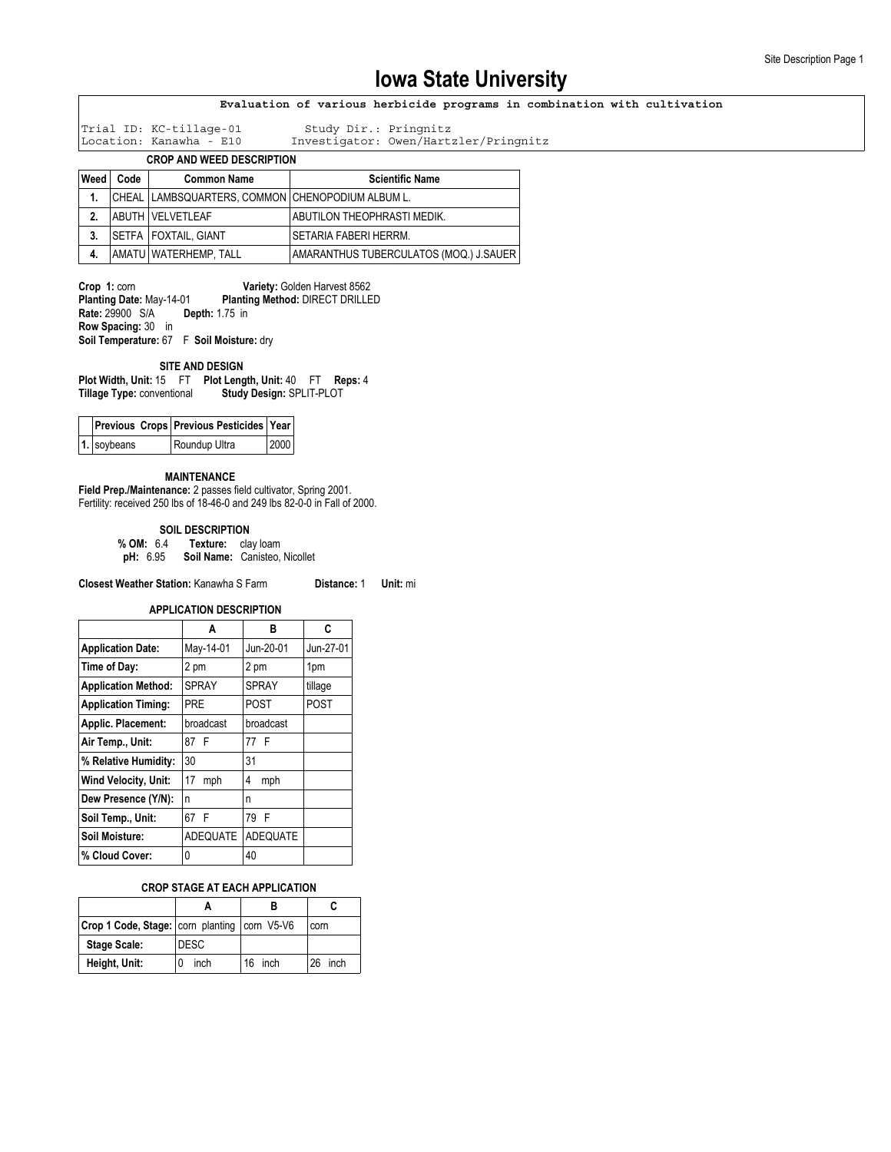### **Evaluation of various herbicide programs in combination with cultivation**

Trial ID: KC-tillage-01 Study Dir.: Pringnitz

Investigator: Owen/Hartzler/Pringnitz

**CROP AND WEED DESCRIPTION**

| Weed         | Code | <b>Common Name</b>                               | <b>Scientific Name</b>                 |
|--------------|------|--------------------------------------------------|----------------------------------------|
| 1.           |      | CHEAL LAMBSQUARTERS, COMMON CHENOPODIUM ALBUM L. |                                        |
| $\mathbf{2}$ |      | <b>ABUTH VELVETLEAF</b>                          | ABUTILON THEOPHRASTI MEDIK.            |
| 3.           |      | <b>ISETFA I FOXTAIL. GIANT</b>                   | SETARIA FABERI HERRM.                  |
| 4.           |      | AMATU   WATERHEMP, TALL                          | AMARANTHUS TUBERCULATOS (MOQ.) J.SAUER |

**Crop 1: corn <b>Variety: Golden Harvest 8562**<br>Planting Date: May-14-01 **Planting Method: DIRECT DRILLE Planting Method: DIRECT DRILLED Rate:** 29900 S/A **Depth:** 1.75 in **Row Spacing:** 30 in **Soil Temperature:** 67 F **Soil Moisture:** dry

#### **SITE AND DESIGN**

**Plot Width, Unit:** 15 FT **Plot Length, Unit:** 40 FT **Reps:** 4 **Study Design: SPLIT-PLOT** 

|             | Previous Crops Previous Pesticides Year |      |
|-------------|-----------------------------------------|------|
| 1. soybeans | Roundup Ultra                           | 2000 |

#### **MAINTENANCE**

**Field Prep./Maintenance:** 2 passes field cultivator, Spring 2001. Fertility: received 250 lbs of 18-46-0 and 249 lbs 82-0-0 in Fall of 2000.

**SOIL DESCRIPTION**<br>**% OM:** 6.4 **Texture:** cla **Texture:** clay loam

**pH:** 6.95 **Soil Name:** Canisteo, Nicollet

**Closest Weather Station:** Kanawha S Farm **Distance:** 1 **Unit:** mi

**APPLICATION DESCRIPTION**

|                            | Α               | в            | C           |
|----------------------------|-----------------|--------------|-------------|
| <b>Application Date:</b>   | May-14-01       | Jun-20-01    | Jun-27-01   |
| Time of Day:               | 2 pm            | 2 pm         | 1pm         |
| <b>Application Method:</b> | <b>SPRAY</b>    | <b>SPRAY</b> | tillage     |
| <b>Application Timing:</b> | <b>PRF</b>      | <b>POST</b>  | <b>POST</b> |
| Applic. Placement:         | broadcast       | broadcast    |             |
| Air Temp., Unit:           | 87 F            | 77 F         |             |
| % Relative Humidity:       | 30              | 31           |             |
| Wind Velocity, Unit:       | 17<br>mph       | 4<br>mph     |             |
| Dew Presence (Y/N):        | n               | n            |             |
| Soil Temp., Unit:          | 67 F            | 79 F         |             |
| Soil Moisture:             | <b>ADEQUATE</b> | ADEQUATE     |             |
| % Cloud Cover:             | 0               | 40           |             |

### **CROP STAGE AT EACH APPLICATION**

| <b>Crop 1 Code, Stage:   corn planting   corn V5-V6</b> |             |         | corn       |
|---------------------------------------------------------|-------------|---------|------------|
| <b>Stage Scale:</b>                                     | <b>DESC</b> |         |            |
| Height, Unit:                                           | inch        | 16 inch | inch<br>26 |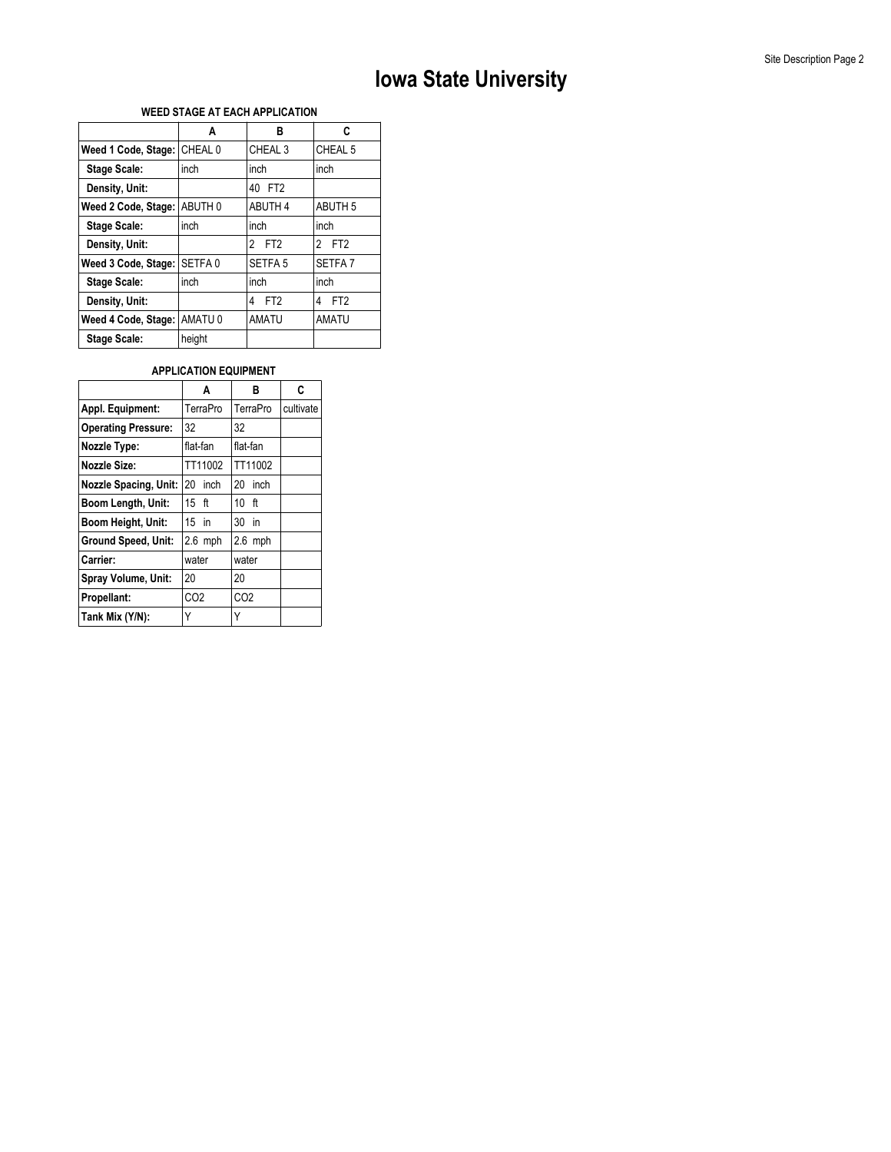## **WEED STAGE AT EACH APPLICATION**

|                     | A                  | в                    | C                    |
|---------------------|--------------------|----------------------|----------------------|
| Weed 1 Code, Stage: | CHEAL 0            | CHEAL <sub>3</sub>   | CHEAL 5              |
| <b>Stage Scale:</b> | inch               | inch                 | inch                 |
| Density, Unit:      |                    | 40 FT2               |                      |
| Weed 2 Code, Stage: | ABUTH 0            | <b>ABUTH 4</b>       | <b>ABUTH 5</b>       |
| <b>Stage Scale:</b> | inch               | inch                 | inch                 |
| Density, Unit:      |                    | FT <sub>2</sub><br>2 | 2 FT2                |
| Weed 3 Code, Stage: | SETFA <sub>0</sub> | SETFA <sub>5</sub>   | SFTFA <sub>7</sub>   |
| <b>Stage Scale:</b> | inch               | inch                 | inch                 |
| Density, Unit:      |                    | FT <sub>2</sub><br>4 | FT <sub>2</sub><br>4 |
| Weed 4 Code, Stage: | AMATU <sub>0</sub> | <b>AMATU</b>         | <b>AMATU</b>         |
| <b>Stage Scale:</b> | height             |                      |                      |

## **APPLICATION EQUIPMENT**

|                              | A               | в               | C         |
|------------------------------|-----------------|-----------------|-----------|
| Appl. Equipment:             | TerraPro        | TerraPro        | cultivate |
| <b>Operating Pressure:</b>   | 32              | 32              |           |
| Nozzle Type:                 | flat-fan        | flat-fan        |           |
| <b>Nozzle Size:</b>          | TT11002         | TT11002         |           |
| <b>Nozzle Spacing, Unit:</b> | 20<br>inch      | 20<br>inch      |           |
| Boom Length, Unit:           | $15$ ft         | 10 ft           |           |
| Boom Height, Unit:           | 15 in           | 30<br>in        |           |
| Ground Speed, Unit:          | $2.6$ mph       | $2.6$ mph       |           |
| Carrier:                     | water           | water           |           |
| Spray Volume, Unit:          | 20              | 20              |           |
| Propellant:                  | CO <sub>2</sub> | CO <sub>2</sub> |           |
| Tank Mix (Y/N):              | Y               |                 |           |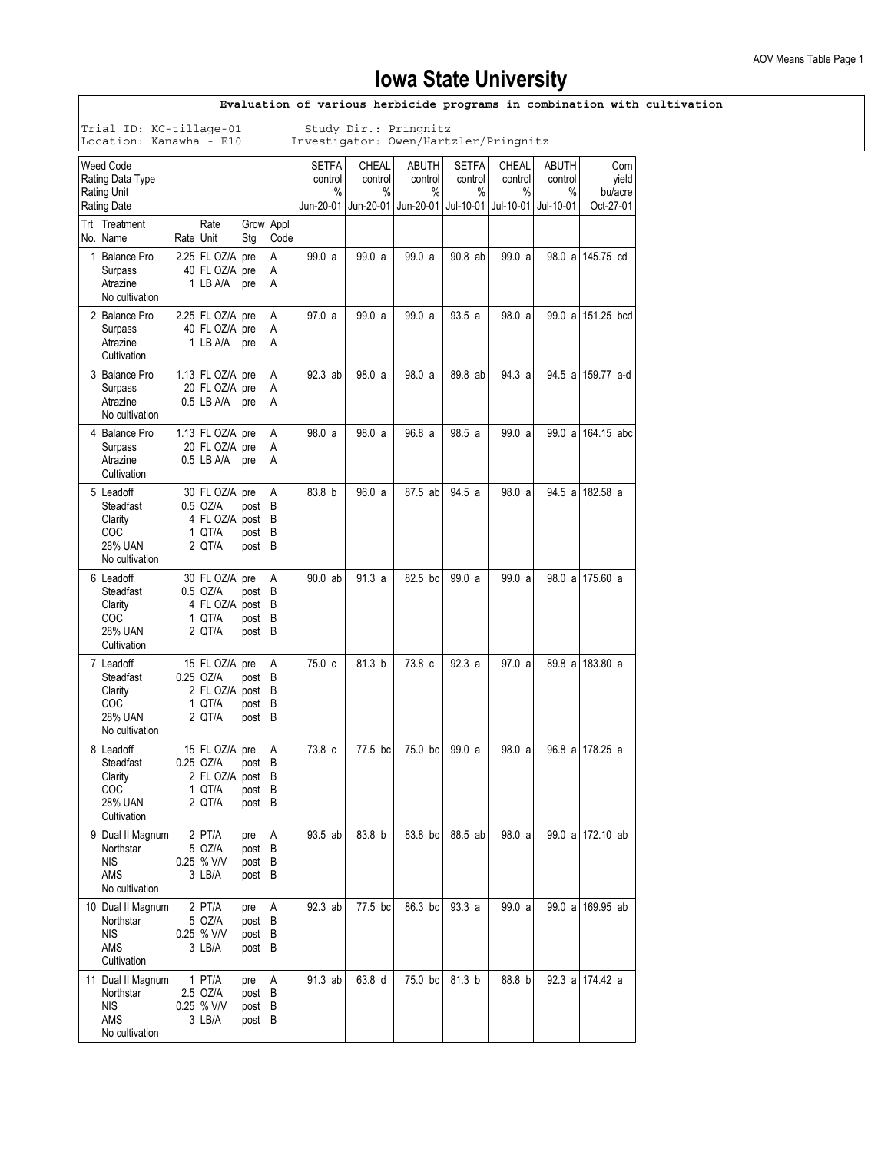| Evaluation of various herbicide programs in combination with cultivation                                             |                                                                                     |           |                                                                     |                                   |                |                                 |                                                                        |                       |                                 |                                              |                       |                                       |  |
|----------------------------------------------------------------------------------------------------------------------|-------------------------------------------------------------------------------------|-----------|---------------------------------------------------------------------|-----------------------------------|----------------|---------------------------------|------------------------------------------------------------------------|-----------------------|---------------------------------|----------------------------------------------|-----------------------|---------------------------------------|--|
| Trial ID: KC-tillage-01<br>Study Dir.: Pringnitz<br>Location: Kanawha - E10<br>Investigator: Owen/Hartzler/Pringnitz |                                                                                     |           |                                                                     |                                   |                |                                 |                                                                        |                       |                                 |                                              |                       |                                       |  |
| <b>Weed Code</b><br>Rating Data Type<br><b>Rating Unit</b><br><b>Rating Date</b>                                     |                                                                                     |           |                                                                     |                                   |                | <b>SETFA</b><br>control<br>$\%$ | CHEAL<br>control<br>%<br>Jun-20-01   Jun-20-01   Jun-20-01   Jul-10-01 | ABUTH<br>control<br>% | <b>SETFA</b><br>control<br>$\%$ | CHEAL<br>control<br>%<br>Jul-10-01 Jul-10-01 | ABUTH<br>control<br>% | Corn<br>yield<br>bu/acre<br>Oct-27-01 |  |
|                                                                                                                      | Trt Treatment<br>No. Name                                                           | Rate Unit | Rate                                                                | Grow Appl<br>Stg                  | Code           |                                 |                                                                        |                       |                                 |                                              |                       |                                       |  |
|                                                                                                                      | 1 Balance Pro<br>Surpass<br>Atrazine<br>No cultivation                              |           | 2.25 FL OZ/A pre<br>40 FL OZ/A pre<br>1 LB A/A pre                  |                                   | Α<br>Α<br>Α    | 99.0 a                          | 99.0 a                                                                 | 99.0a                 | 90.8 ab                         | 99.0 a                                       |                       | 98.0 a 145.75 cd                      |  |
|                                                                                                                      | 2 Balance Pro<br>Surpass<br>Atrazine<br>Cultivation                                 |           | 2.25 FL OZ/A pre<br>40 FL OZ/A pre<br>1 LB A/A pre                  |                                   | Α<br>A<br>A    | 97.0 a                          | 99.0 a                                                                 | 99.0 a                | 93.5a                           | 98.0 a                                       |                       | 99.0 a 151.25 bcd                     |  |
|                                                                                                                      | 3 Balance Pro<br>Surpass<br>Atrazine<br>No cultivation                              |           | 1.13 FL OZ/A pre<br>20 FL OZ/A pre<br>0.5 LB A/A pre                |                                   | Α<br>A<br>Α    | 92.3 ab                         | 98.0 a                                                                 | 98.0 a                | 89.8 ab                         | 94.3 a                                       |                       | 94.5 a 159.77 a-d                     |  |
|                                                                                                                      | 4 Balance Pro<br>Surpass<br>Atrazine<br>Cultivation                                 |           | 1.13 FL OZ/A pre<br>20 FL OZ/A pre<br>0.5 LB A/A pre                |                                   | Α<br>Α<br>A    | 98.0a                           | 98.0 a                                                                 | 96.8a                 | 98.5a                           | 99.0 a                                       |                       | 99.0 a 164.15 abc                     |  |
|                                                                                                                      | 5 Leadoff<br>Steadfast<br>Clarity<br><b>COC</b><br><b>28% UAN</b><br>No cultivation |           | 30 FL OZ/A pre<br>0.5 OZ/A<br>4 FL OZ/A post B<br>1 QT/A<br>2 QT/A  | post B<br>post B<br>post B        | Α              | 83.8 b                          | 96.0 a                                                                 | 87.5 ab               | 94.5a                           | 98.0 a                                       |                       | 94.5 a 182.58 a                       |  |
|                                                                                                                      | 6 Leadoff<br>Steadfast<br>Clarity<br>COC<br><b>28% UAN</b><br>Cultivation           |           | 30 FL OZ/A pre<br>0.5 OZ/A<br>4 FL OZ/A post B<br>1 QT/A<br>2 QT/A  | post B<br>post B<br>post B        | $\overline{A}$ | 90.0 ab                         | 91.3a                                                                  | 82.5 bc               | 99.0a                           | 99.0 a                                       |                       | 98.0 a 175.60 a                       |  |
|                                                                                                                      | 7 Leadoff<br>Steadfast<br>Clarity<br><b>COC</b><br><b>28% UAN</b><br>No cultivation |           | 15 FL OZ/A pre<br>0.25 OZ/A<br>2 FL OZ/A post B<br>1 QT/A<br>2 QT/A | post B<br>post B<br>post B        | A              | 75.0 c                          | 81.3 b                                                                 | 73.8 c                | 92.3a                           | 97.0 a                                       |                       | 89.8 a 183.80 a                       |  |
|                                                                                                                      | 8 Leadoff<br>Steadfast<br>Clarity<br>COC.<br><b>28% UAN</b><br>Cultivation          |           | 15 FL OZ/A pre<br>0.25 OZ/A<br>2 FL OZ/A post B<br>1 QT/A<br>2 QT/A | post B<br>post B<br>post B        | A              | 73.8 c                          | 77.5 bc                                                                | 75.0 bc               | 99.0a                           | 98.0a                                        |                       | 96.8 al 178.25 a                      |  |
|                                                                                                                      | 9 Dual II Magnum<br>Northstar<br><b>NIS</b><br>AMS<br>No cultivation                |           | 2 PT/A<br>5 OZ/A<br>0.25 % V/V<br>3 LB/A                            | pre<br>post B<br>post B<br>post B | A              | 93.5 ab                         | 83.8 b                                                                 | 83.8 bc               | 88.5 ab                         | 98.0a                                        |                       | 99.0 a 172.10 ab                      |  |
|                                                                                                                      | 10 Dual II Magnum<br>Northstar<br><b>NIS</b><br>AMS<br>Cultivation                  |           | 2 PT/A<br>5 OZ/A<br>0.25 % V/V<br>3 LB/A                            | pre<br>post B<br>post B<br>post B | A              | 92.3 ab                         | 77.5 bc                                                                | 86.3 bc               | 93.3a                           | 99.0 a                                       |                       | 99.0 a 169.95 ab                      |  |
|                                                                                                                      | 11 Dual II Magnum<br>Northstar<br><b>NIS</b><br>AMS<br>No cultivation               |           | 1 PT/A<br>2.5 OZ/A<br>0.25 % V/V<br>3 LB/A                          | pre<br>post B<br>post B<br>post B | A              | 91.3 ab                         | 63.8 d                                                                 | 75.0 bc               | 81.3 b                          | 88.8 b                                       |                       | 92.3 a 174.42 a                       |  |

 $\overline{1}$